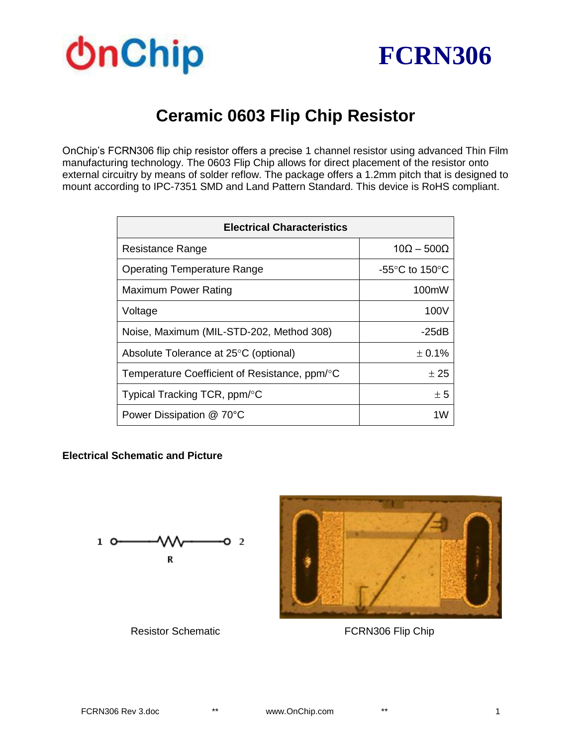



## **Ceramic 0603 Flip Chip Resistor**

OnChip's FCRN306 flip chip resistor offers a precise 1 channel resistor using advanced Thin Film manufacturing technology. The 0603 Flip Chip allows for direct placement of the resistor onto external circuitry by means of solder reflow. The package offers a 1.2mm pitch that is designed to mount according to IPC-7351 SMD and Land Pattern Standard. This device is RoHS compliant.

| <b>Electrical Characteristics</b>             |                                    |  |
|-----------------------------------------------|------------------------------------|--|
| Resistance Range                              | $10\Omega - 500\Omega$             |  |
| <b>Operating Temperature Range</b>            | -55 $\degree$ C to 150 $\degree$ C |  |
| Maximum Power Rating                          | 100mW                              |  |
| Voltage                                       | 100V                               |  |
| Noise, Maximum (MIL-STD-202, Method 308)      | -25dB                              |  |
| Absolute Tolerance at 25°C (optional)         | ± 0.1%                             |  |
| Temperature Coefficient of Resistance, ppm/°C | $+25$                              |  |
| Typical Tracking TCR, ppm/°C                  | ± 5                                |  |
| Power Dissipation @ 70°C                      | 1W                                 |  |

#### **Electrical Schematic and Picture**





**Resistor Schematic** *FCRN306 Flip Chip*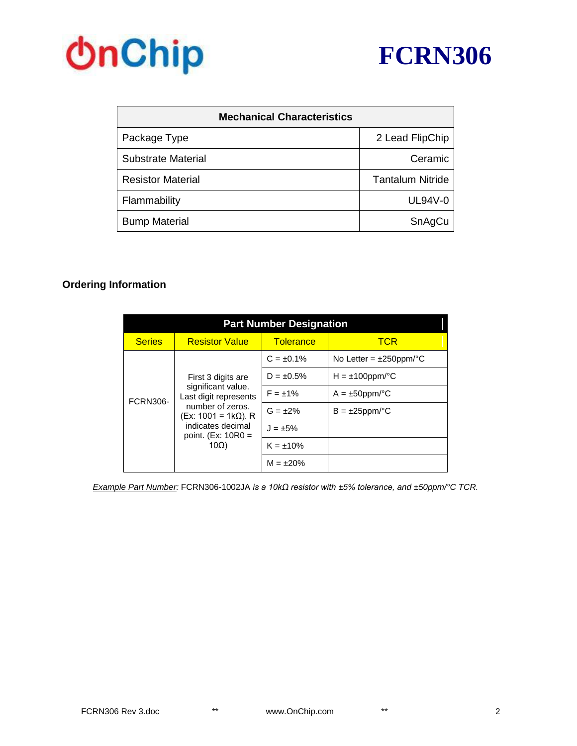



| <b>Mechanical Characteristics</b> |                         |  |
|-----------------------------------|-------------------------|--|
| Package Type                      | 2 Lead FlipChip         |  |
| Substrate Material                | Ceramic                 |  |
| <b>Resistor Material</b>          | <b>Tantalum Nitride</b> |  |
| Flammability                      | <b>UL94V-0</b>          |  |
| <b>Bump Material</b>              | SnAgCu                  |  |

#### **Ordering Information**

| <b>Part Number Designation</b>                                                                                                                                    |                       |                  |                              |  |
|-------------------------------------------------------------------------------------------------------------------------------------------------------------------|-----------------------|------------------|------------------------------|--|
| <b>Series</b>                                                                                                                                                     | <b>Resistor Value</b> | <b>Tolerance</b> | <b>TCR</b>                   |  |
| First 3 digits are<br>significant value.<br><b>FCRN306-</b><br>number of zeros.<br>(Ex: 1001 = 1kΩ). R<br>indicates decimal<br>point. $(Ex: 10R0 =$<br>$10\Omega$ |                       | $C = \pm 0.1\%$  | No Letter = $\pm 250$ ppm/°C |  |
|                                                                                                                                                                   |                       | $D = \pm 0.5\%$  | $H = \pm 100$ ppm/°C         |  |
|                                                                                                                                                                   | Last digit represents | $F = \pm 1\%$    | $A = \pm 50$ ppm/°C          |  |
|                                                                                                                                                                   |                       | $G = \pm 2\%$    | $B = \pm 25$ ppm/°C          |  |
|                                                                                                                                                                   |                       | $J = \pm 5\%$    |                              |  |
|                                                                                                                                                                   | $K = \pm 10\%$        |                  |                              |  |
|                                                                                                                                                                   |                       | $M = \pm 20\%$   |                              |  |

*Example Part Number:* FCRN306-1002JA *is a 10kΩ resistor with ±5% tolerance, and ±50ppm/°C TCR.*